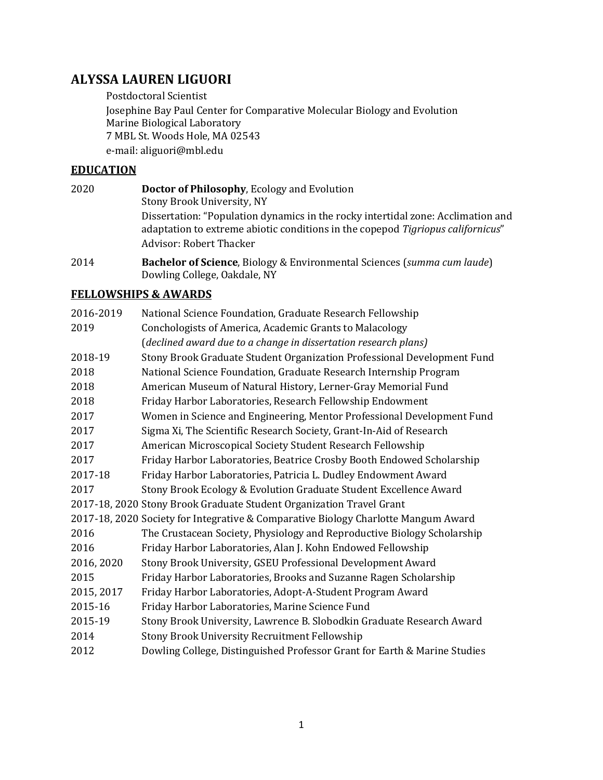## **ALYSSA LAUREN LIGUORI**

Postdoctoral Scientist

Josephine Bay Paul Center for Comparative Molecular Biology and Evolution Marine Biological Laboratory 7 MBL St. Woods Hole, MA 02543 e-mail: aliguori@mbl.edu

### **EDUCATION**

- 2020 **Doctor of Philosophy**, Ecology and Evolution Stony Brook University, NY Dissertation: "Population dynamics in the rocky intertidal zone: Acclimation and adaptation to extreme abiotic conditions in the copepod *Tigriopus californicus*" Advisor: Robert Thacker
- 2014 **Bachelor of Science**, Biology & Environmental Sciences (*summa cum laude*) Dowling College, Oakdale, NY

## **FELLOWSHIPS & AWARDS**

| 2016-2019  | National Science Foundation, Graduate Research Fellowship                          |
|------------|------------------------------------------------------------------------------------|
| 2019       | Conchologists of America, Academic Grants to Malacology                            |
|            | (declined award due to a change in dissertation research plans)                    |
| 2018-19    | Stony Brook Graduate Student Organization Professional Development Fund            |
| 2018       | National Science Foundation, Graduate Research Internship Program                  |
| 2018       | American Museum of Natural History, Lerner-Gray Memorial Fund                      |
| 2018       | Friday Harbor Laboratories, Research Fellowship Endowment                          |
| 2017       | Women in Science and Engineering, Mentor Professional Development Fund             |
| 2017       | Sigma Xi, The Scientific Research Society, Grant-In-Aid of Research                |
| 2017       | American Microscopical Society Student Research Fellowship                         |
| 2017       | Friday Harbor Laboratories, Beatrice Crosby Booth Endowed Scholarship              |
| 2017-18    | Friday Harbor Laboratories, Patricia L. Dudley Endowment Award                     |
| 2017       | Stony Brook Ecology & Evolution Graduate Student Excellence Award                  |
|            | 2017-18, 2020 Stony Brook Graduate Student Organization Travel Grant               |
|            | 2017-18, 2020 Society for Integrative & Comparative Biology Charlotte Mangum Award |
| 2016       | The Crustacean Society, Physiology and Reproductive Biology Scholarship            |
| 2016       | Friday Harbor Laboratories, Alan J. Kohn Endowed Fellowship                        |
| 2016, 2020 | Stony Brook University, GSEU Professional Development Award                        |
| 2015       | Friday Harbor Laboratories, Brooks and Suzanne Ragen Scholarship                   |
| 2015, 2017 | Friday Harbor Laboratories, Adopt-A-Student Program Award                          |
| 2015-16    | Friday Harbor Laboratories, Marine Science Fund                                    |
| 2015-19    | Stony Brook University, Lawrence B. Slobodkin Graduate Research Award              |
| 2014       | Stony Brook University Recruitment Fellowship                                      |
| 2012       | Dowling College, Distinguished Professor Grant for Earth & Marine Studies          |
|            |                                                                                    |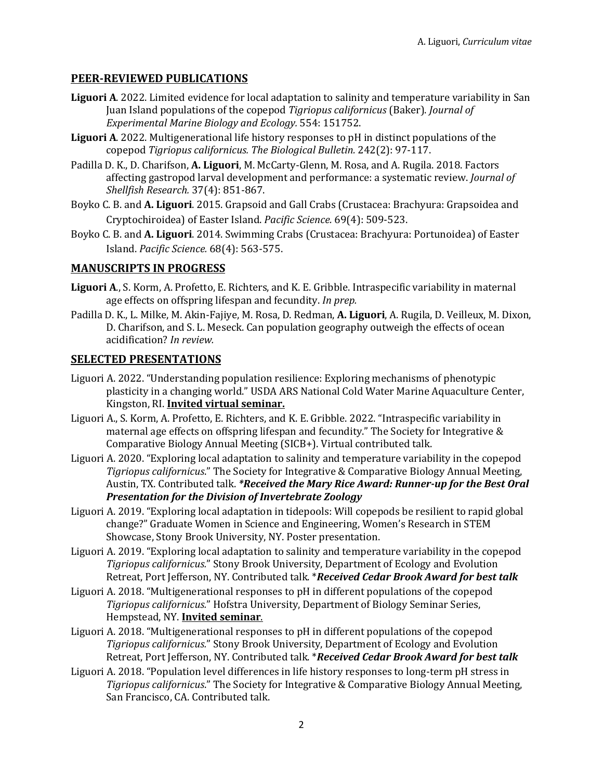## **PEER-REVIEWED PUBLICATIONS**

- Liguori A. 2022. Limited evidence for local adaptation to salinity and temperature variability in San Juan Island populations of the copepod *Tigriopus californicus* (Baker). *Journal of Experimental Marine Biology and Ecology.* 554: 151752.
- **Liguori A.** 2022. Multigenerational life history responses to pH in distinct populations of the copepod *Tigriopus californicus. The Biological Bulletin.* 242(2): 97-117.
- Padilla D. K., D. Charifson, A. Liguori, M. McCarty-Glenn, M. Rosa, and A. Rugila. 2018. Factors affecting gastropod larval development and performance: a systematic review. *Journal of Shellfish Research.* 37(4): 851-867.
- Boyko C. B. and A. Liguori. 2015. Grapsoid and Gall Crabs (Crustacea: Brachyura: Grapsoidea and Cryptochiroidea) of Easter Island. *Pacific Science.* 69(4): 509-523.
- Boyko C. B. and A. Liguori. 2014. Swimming Crabs (Crustacea: Brachyura: Portunoidea) of Easter Island. *Pacific Science.* 68(4): 563-575.

## **MANUSCRIPTS IN PROGRESS**

- Liguori A., S. Korm, A. Profetto, E. Richters, and K. E. Gribble. Intraspecific variability in maternal age effects on offspring lifespan and fecundity. *In prep.*
- Padilla D. K., L. Milke, M. Akin-Fajiye, M. Rosa, D. Redman, A. Liguori, A. Rugila, D. Veilleux, M. Dixon, D. Charifson, and S. L. Meseck. Can population geography outweigh the effects of ocean acidification? *In review.*

### **SELECTED PRESENTATIONS**

- Liguori A. 2022. "Understanding population resilience: Exploring mechanisms of phenotypic plasticity in a changing world." USDA ARS National Cold Water Marine Aquaculture Center, Kingston, RI. **Invited virtual seminar.**
- Liguori A., S. Korm, A. Profetto, E. Richters, and K. E. Gribble. 2022. "Intraspecific variability in maternal age effects on offspring lifespan and fecundity." The Society for Integrative  $&$ Comparative Biology Annual Meeting (SICB+). Virtual contributed talk.
- Liguori A. 2020. "Exploring local adaptation to salinity and temperature variability in the copepod Tigriopus californicus." The Society for Integrative & Comparative Biology Annual Meeting, Austin, TX. Contributed talk. *\*Received the Mary Rice Award: Runner-up for the Best Oral* **Presentation for the Division of Invertebrate Zoology**
- Liguori A. 2019. "Exploring local adaptation in tidepools: Will copepods be resilient to rapid global change?" Graduate Women in Science and Engineering, Women's Research in STEM Showcase, Stony Brook University, NY. Poster presentation.
- Liguori A. 2019. "Exploring local adaptation to salinity and temperature variability in the copepod *Tigriopus californicus.*" Stony Brook University, Department of Ecology and Evolution Retreat, Port Jefferson, NY. Contributed talk. \*Received Cedar Brook Award for best talk
- Liguori A. 2018. "Multigenerational responses to pH in different populations of the copepod Tigriopus californicus." Hofstra University, Department of Biology Seminar Series, Hempstead, NY. **Invited seminar.**
- Liguori A. 2018. "Multigenerational responses to pH in different populations of the copepod Tigriopus californicus." Stony Brook University, Department of Ecology and Evolution Retreat, Port Jefferson, NY. Contributed talk. \*Received Cedar Brook Award for best talk
- Liguori A. 2018. "Population level differences in life history responses to long-term pH stress in *Tigriopus californicus*." The Society for Integrative & Comparative Biology Annual Meeting, San Francisco, CA. Contributed talk.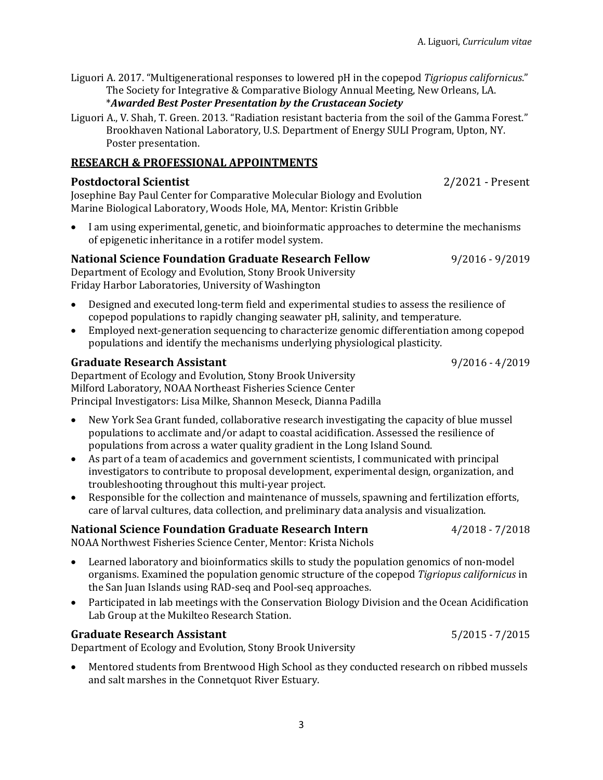Liguori A. 2017. "Multigenerational responses to lowered pH in the copepod *Tigriopus californicus*." The Society for Integrative & Comparative Biology Annual Meeting, New Orleans, LA. \**Awarded Best Poster Presentation by the Crustacean Society*

Liguori A., V. Shah, T. Green. 2013. "Radiation resistant bacteria from the soil of the Gamma Forest." Brookhaven National Laboratory, U.S. Department of Energy SULI Program, Upton, NY. Poster presentation.

### **RESEARCH & PROFESSIONAL APPOINTMENTS**

### **Postdoctoral Scientist by a set of the Scientist** *2/2021* **- Present**

Josephine Bay Paul Center for Comparative Molecular Biology and Evolution Marine Biological Laboratory, Woods Hole, MA, Mentor: Kristin Gribble

I am using experimental, genetic, and bioinformatic approaches to determine the mechanisms of epigenetic inheritance in a rotifer model system.

## **National Science Foundation Graduate Research Fellow 9/2016 - 9/2019**

Department of Ecology and Evolution, Stony Brook University Friday Harbor Laboratories, University of Washington

- Designed and executed long-term field and experimental studies to assess the resilience of copepod populations to rapidly changing seawater pH, salinity, and temperature.
- Employed next-generation sequencing to characterize genomic differentiation among copepod populations and identify the mechanisms underlying physiological plasticity.

### Graduate Research Assistant **80.18 and 1.2016** and 1.2019

Department of Ecology and Evolution, Stony Brook University Milford Laboratory, NOAA Northeast Fisheries Science Center Principal Investigators: Lisa Milke, Shannon Meseck, Dianna Padilla

- New York Sea Grant funded, collaborative research investigating the capacity of blue mussel populations to acclimate and/or adapt to coastal acidification. Assessed the resilience of populations from across a water quality gradient in the Long Island Sound.
- As part of a team of academics and government scientists, I communicated with principal investigators to contribute to proposal development, experimental design, organization, and troubleshooting throughout this multi-year project.
- Responsible for the collection and maintenance of mussels, spawning and fertilization efforts, care of larval cultures, data collection, and preliminary data analysis and visualization.

## **National Science Foundation Graduate Research Intern**  $\frac{4}{2018}$  **- 7/2018**

NOAA Northwest Fisheries Science Center, Mentor: Krista Nichols

- Learned laboratory and bioinformatics skills to study the population genomics of non-model organisms. Examined the population genomic structure of the copepod *Tigriopus californicus* in the San Juan Islands using RAD-seq and Pool-seq approaches.
- Participated in lab meetings with the Conservation Biology Division and the Ocean Acidification Lab Group at the Mukilteo Research Station.

## **Graduate Research Assistant** *Craduate Research Assistant Craduate Research Assistant*

Department of Ecology and Evolution, Stony Brook University

• Mentored students from Brentwood High School as they conducted research on ribbed mussels and salt marshes in the Connetquot River Estuary.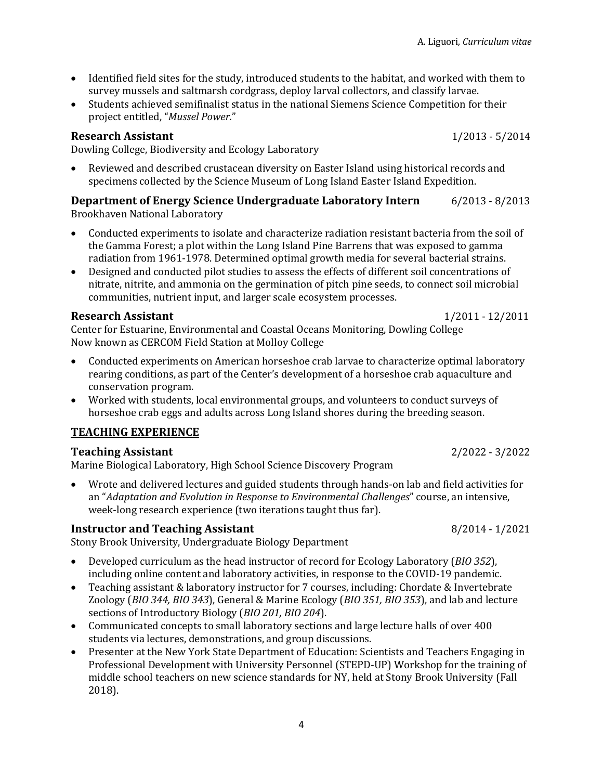- Identified field sites for the study, introduced students to the habitat, and worked with them to survey mussels and saltmarsh cordgrass, deploy larval collectors, and classify larvae.
- Students achieved semifinalist status in the national Siemens Science Competition for their project entitled, "*Mussel Power.*"

#### **Research Assistant**  1/2013 - 5/2014

Dowling College, Biodiversity and Ecology Laboratory

Reviewed and described crustacean diversity on Easter Island using historical records and specimens collected by the Science Museum of Long Island Easter Island Expedition.

#### **Department of Energy Science Undergraduate Laboratory Intern**  $\qquad 6/2013 - 8/2013$ Brookhaven National Laboratory

- Conducted experiments to isolate and characterize radiation resistant bacteria from the soil of the Gamma Forest; a plot within the Long Island Pine Barrens that was exposed to gamma radiation from 1961-1978. Determined optimal growth media for several bacterial strains.
- Designed and conducted pilot studies to assess the effects of different soil concentrations of nitrate, nitrite, and ammonia on the germination of pitch pine seeds, to connect soil microbial communities, nutrient input, and larger scale ecosystem processes.

#### **Research Assistant** 1/2011 - 12/2011

Center for Estuarine, Environmental and Coastal Oceans Monitoring, Dowling College Now known as CERCOM Field Station at Molloy College

- Conducted experiments on American horseshoe crab larvae to characterize optimal laboratory rearing conditions, as part of the Center's development of a horseshoe crab aquaculture and conservation program.
- Worked with students, local environmental groups, and volunteers to conduct surveys of horseshoe crab eggs and adults across Long Island shores during the breeding season.

## **TEACHING EXPERIENCE**

### **Teaching Assistant**  2/2022 - 3/2022

Marine Biological Laboratory, High School Science Discovery Program

• Wrote and delivered lectures and guided students through hands-on lab and field activities for an "Adaptation and Evolution in Response to Environmental Challenges" course, an intensive, week-long research experience (two iterations taught thus far).

### **Instructor and Teaching Assistant** 8/2014 - 1/2021

Stony Brook University, Undergraduate Biology Department

- Developed curriculum as the head instructor of record for Ecology Laboratory (*BIO 352*), including online content and laboratory activities, in response to the COVID-19 pandemic.
- Teaching assistant & laboratory instructor for 7 courses, including: Chordate & Invertebrate Zoology (*BIO* 344, *BIO* 343), General & Marine Ecology (*BIO* 351, *BIO* 353), and lab and lecture sections of Introductory Biology (*BIO 201, BIO 204*).
- Communicated concepts to small laboratory sections and large lecture halls of over 400 students via lectures, demonstrations, and group discussions.
- Presenter at the New York State Department of Education: Scientists and Teachers Engaging in Professional Development with University Personnel (STEPD-UP) Workshop for the training of middle school teachers on new science standards for NY, held at Stony Brook University (Fall 2018).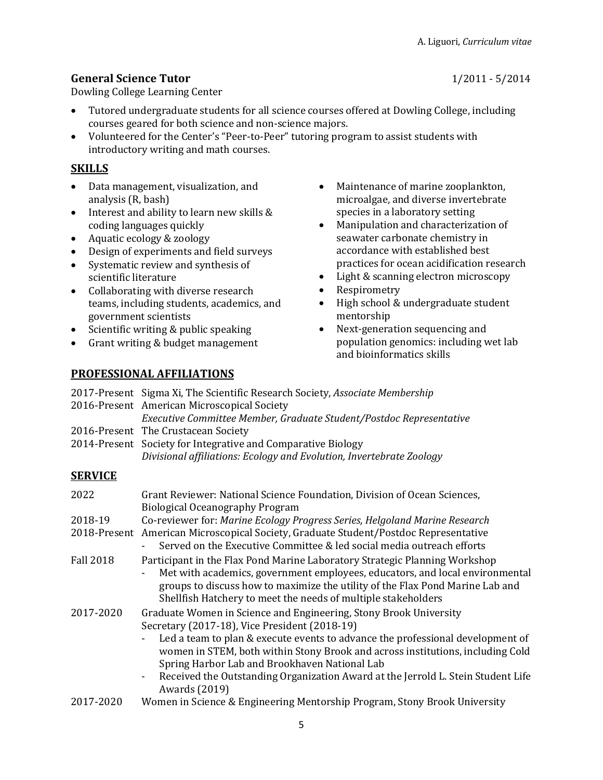## **General Science Tutor** 1/2011 - 5/2014

Dowling College Learning Center

- Tutored undergraduate students for all science courses offered at Dowling College, including courses geared for both science and non-science majors.
- Volunteered for the Center's "Peer-to-Peer" tutoring program to assist students with introductory writing and math courses.

## **SKILLS**

- Data management, visualization, and analysis (R, bash)
- Interest and ability to learn new skills & coding languages quickly
- Aquatic ecology & zoology
- Design of experiments and field surveys
- Systematic review and synthesis of scientific literature
- Collaborating with diverse research teams, including students, academics, and government scientists
- Scientific writing  $&$  public speaking
- Grant writing & budget management
- Maintenance of marine zooplankton, microalgae, and diverse invertebrate species in a laboratory setting
- Manipulation and characterization of seawater carbonate chemistry in accordance with established best practices for ocean acidification research
- Light & scanning electron microscopy
- **Respirometry**
- High school & undergraduate student mentorship
- Next-generation sequencing and population genomics: including wet lab and bioinformatics skills

# **PROFESSIONAL AFFILIATIONS**

|                  | 2017-Present Sigma Xi, The Scientific Research Society, Associate Membership<br>2016-Present American Microscopical Society                                   |
|------------------|---------------------------------------------------------------------------------------------------------------------------------------------------------------|
|                  | Executive Committee Member, Graduate Student/Postdoc Representative                                                                                           |
|                  | 2016-Present The Crustacean Society                                                                                                                           |
|                  | 2014-Present Society for Integrative and Comparative Biology                                                                                                  |
|                  | Divisional affiliations: Ecology and Evolution, Invertebrate Zoology                                                                                          |
| <b>SERVICE</b>   |                                                                                                                                                               |
| 2022             | Grant Reviewer: National Science Foundation, Division of Ocean Sciences,<br><b>Biological Oceanography Program</b>                                            |
| 2018-19          | Co-reviewer for: Marine Ecology Progress Series, Helgoland Marine Research                                                                                    |
|                  | 2018-Present American Microscopical Society, Graduate Student/Postdoc Representative<br>Served on the Executive Committee & led social media outreach efforts |
| <b>Fall 2018</b> | Participant in the Flax Pond Marine Laboratory Strategic Planning Workshop                                                                                    |

- Met with academics, government employees, educators, and local environmental groups to discuss how to maximize the utility of the Flax Pond Marine Lab and Shellfish Hatchery to meet the needs of multiple stakeholders
- 2017-2020 Graduate Women in Science and Engineering, Stony Brook University Secretary (2017-18), Vice President (2018-19)
	- Led a team to plan & execute events to advance the professional development of women in STEM, both within Stony Brook and across institutions, including Cold Spring Harbor Lab and Brookhaven National Lab
	- Received the Outstanding Organization Award at the Jerrold L. Stein Student Life Awards (2019)
- 2017-2020 Women in Science & Engineering Mentorship Program, Stony Brook University